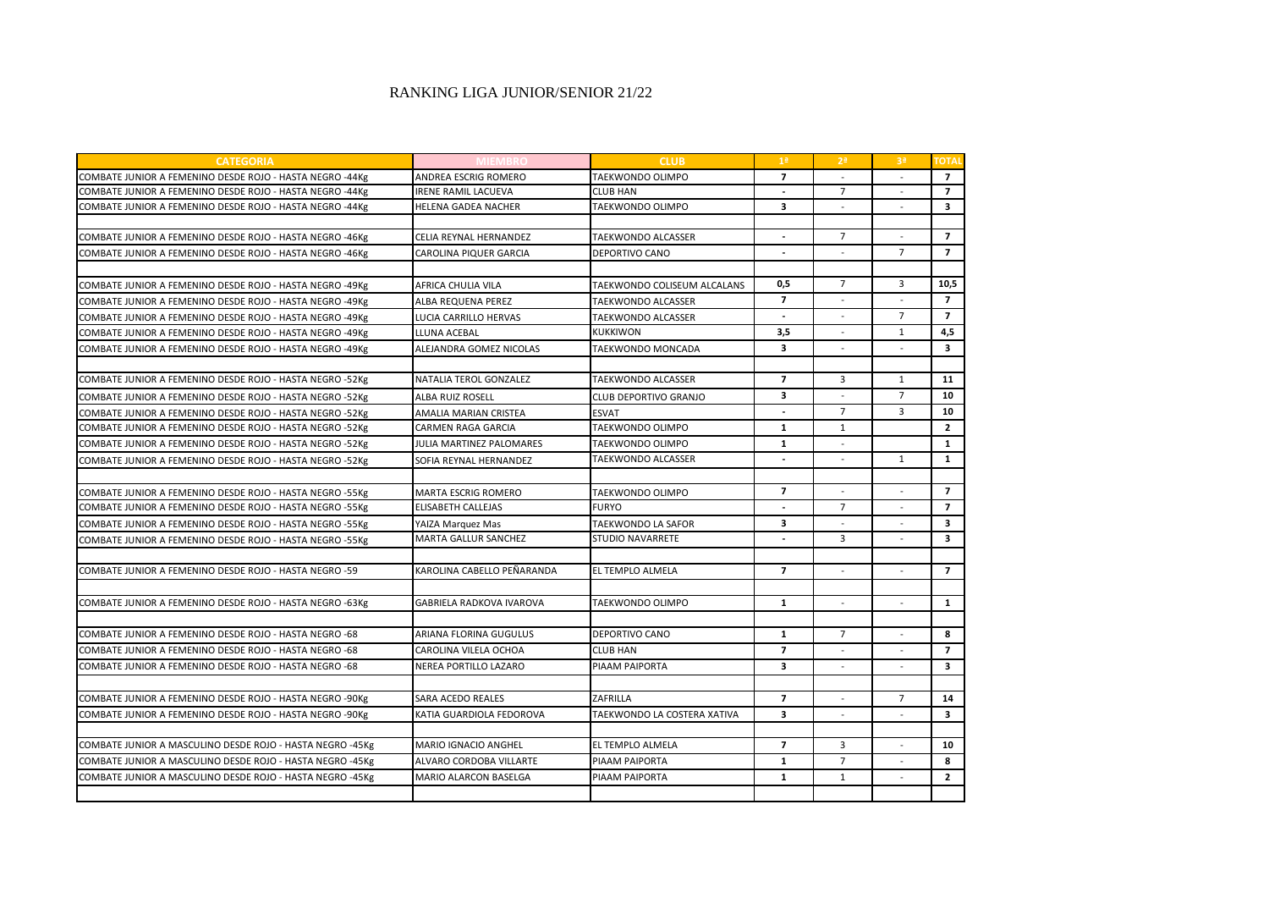## RANKING LIGA JUNIOR/SENIOR 21/22

| <b>CATEGORIA</b>                                          |                                 | <b>CLUB</b>                 | 1 <sup>a</sup>          | 2 <sup>a</sup>           | 3 <sup>a</sup>           | <b>TOTA</b>             |
|-----------------------------------------------------------|---------------------------------|-----------------------------|-------------------------|--------------------------|--------------------------|-------------------------|
| COMBATE JUNIOR A FEMENINO DESDE ROJO - HASTA NEGRO -44Kg  | ANDREA ESCRIG ROMERO            | TAEKWONDO OLIMPO            | $\overline{7}$          |                          |                          | $\overline{7}$          |
| COMBATE JUNIOR A FEMENINO DESDE ROJO - HASTA NEGRO -44Kg  | <b>IRENE RAMIL LACUEVA</b>      | <b>CLUB HAN</b>             | $\sim$                  | $\overline{7}$           | $\overline{a}$           | $\overline{7}$          |
| COMBATE JUNIOR A FEMENINO DESDE ROJO - HASTA NEGRO -44Kg  | <b>HELENA GADEA NACHER</b>      | <b>TAEKWONDO OLIMPO</b>     | 3                       |                          |                          | $\overline{\mathbf{3}}$ |
|                                                           |                                 |                             |                         |                          |                          |                         |
| COMBATE JUNIOR A FEMENINO DESDE ROJO - HASTA NEGRO -46Kg  | CELIA REYNAL HERNANDEZ          | <b>TAEKWONDO ALCASSER</b>   |                         | $\overline{7}$           |                          | $\overline{7}$          |
| COMBATE JUNIOR A FEMENINO DESDE ROJO - HASTA NEGRO -46Kg  | CAROLINA PIQUER GARCIA          | DEPORTIVO CANO              | $\overline{a}$          | $\overline{a}$           | $\overline{7}$           | $\overline{7}$          |
|                                                           |                                 |                             |                         |                          |                          |                         |
| COMBATE JUNIOR A FEMENINO DESDE ROJO - HASTA NEGRO -49Kg  | AFRICA CHULIA VILA              | TAEKWONDO COLISEUM ALCALANS | 0,5                     | $\overline{7}$           | 3                        | 10,5                    |
| COMBATE JUNIOR A FEMENINO DESDE ROJO - HASTA NEGRO -49Kg  | ALBA REQUENA PEREZ              | <b>TAEKWONDO ALCASSER</b>   | $\overline{7}$          |                          |                          | $\overline{7}$          |
| COMBATE JUNIOR A FEMENINO DESDE ROJO - HASTA NEGRO -49Kg  | LUCIA CARRILLO HERVAS           | TAEKWONDO ALCASSER          |                         |                          | $\overline{7}$           | $\overline{7}$          |
| COMBATE JUNIOR A FEMENINO DESDE ROJO - HASTA NEGRO -49Kg  | LLUNA ACEBAL                    | <b>KUKKIWON</b>             | 3,5                     |                          | $\mathbf{1}$             | 4,5                     |
| COMBATE JUNIOR A FEMENINO DESDE ROJO - HASTA NEGRO -49Kg  | ALEJANDRA GOMEZ NICOLAS         | TAEKWONDO MONCADA           | $\overline{\mathbf{3}}$ | $\overline{a}$           | $\overline{a}$           | $\overline{\mathbf{3}}$ |
|                                                           |                                 |                             |                         |                          |                          |                         |
| COMBATE JUNIOR A FEMENINO DESDE ROJO - HASTA NEGRO -52Kg  | NATALIA TEROL GONZALEZ          | <b>TAEKWONDO ALCASSER</b>   | $\overline{7}$          | 3                        | $\mathbf{1}$             | 11                      |
| COMBATE JUNIOR A FEMENINO DESDE ROJO - HASTA NEGRO -52Kg  | <b>ALBA RUIZ ROSELL</b>         | CLUB DEPORTIVO GRANJO       | 3                       |                          | $\overline{7}$           | 10                      |
| COMBATE JUNIOR A FEMENINO DESDE ROJO - HASTA NEGRO -52Kg  | AMALIA MARIAN CRISTEA           | <b>ESVAT</b>                |                         | $\overline{7}$           | 3                        | 10                      |
| COMBATE JUNIOR A FEMENINO DESDE ROJO - HASTA NEGRO -52Kg  | <b>CARMEN RAGA GARCIA</b>       | TAEKWONDO OLIMPO            | $\mathbf{1}$            | $\mathbf{1}$             |                          | $\overline{2}$          |
| COMBATE JUNIOR A FEMENINO DESDE ROJO - HASTA NEGRO -52Kg  | JULIA MARTINEZ PALOMARES        | TAEKWONDO OLIMPO            | $\mathbf{1}$            | $\overline{\phantom{a}}$ |                          | $\mathbf{1}$            |
| COMBATE JUNIOR A FEMENINO DESDE ROJO - HASTA NEGRO -52Kg  | SOFIA REYNAL HERNANDEZ          | <b>TAEKWONDO ALCASSER</b>   |                         |                          | $\mathbf{1}$             | $\mathbf{1}$            |
|                                                           |                                 |                             |                         |                          |                          |                         |
| COMBATE JUNIOR A FEMENINO DESDE ROJO - HASTA NEGRO -55Kg  | <b>MARTA ESCRIG ROMERO</b>      | <b>TAEKWONDO OLIMPO</b>     | $\overline{7}$          |                          |                          | $\overline{7}$          |
| COMBATE JUNIOR A FEMENINO DESDE ROJO - HASTA NEGRO -55Kg  | <b>ELISABETH CALLEJAS</b>       | <b>FURYO</b>                |                         | $\overline{7}$           |                          | $\overline{7}$          |
| COMBATE JUNIOR A FEMENINO DESDE ROJO - HASTA NEGRO -55Kg  | YAIZA Marquez Mas               | TAEKWONDO LA SAFOR          | 3                       |                          |                          | 3                       |
| COMBATE JUNIOR A FEMENINO DESDE ROJO - HASTA NEGRO -55Kg  | <b>MARTA GALLUR SANCHEZ</b>     | <b>STUDIO NAVARRETE</b>     | Ĭ.                      | $\overline{3}$           | $\overline{a}$           | $\overline{\mathbf{3}}$ |
|                                                           |                                 |                             |                         |                          |                          |                         |
| COMBATE JUNIOR A FEMENINO DESDE ROJO - HASTA NEGRO -59    | KAROLINA CABELLO PEÑARANDA      | EL TEMPLO ALMELA            | $\overline{7}$          |                          |                          | $\overline{7}$          |
|                                                           |                                 |                             |                         |                          |                          |                         |
| COMBATE JUNIOR A FEMENINO DESDE ROJO - HASTA NEGRO -63Kg  | <b>GABRIELA RADKOVA IVAROVA</b> | <b>TAEKWONDO OLIMPO</b>     | $\mathbf{1}$            |                          |                          | $\mathbf{1}$            |
|                                                           |                                 |                             |                         |                          |                          |                         |
| COMBATE JUNIOR A FEMENINO DESDE ROJO - HASTA NEGRO -68    | ARIANA FLORINA GUGULUS          | <b>DEPORTIVO CANO</b>       | $\mathbf{1}$            | $\overline{7}$           | $\overline{a}$           | 8                       |
| COMBATE JUNIOR A FEMENINO DESDE ROJO - HASTA NEGRO -68    | CAROLINA VILELA OCHOA           | <b>CLUB HAN</b>             | $\overline{7}$          | $\overline{\phantom{a}}$ | $\overline{\phantom{a}}$ | $\overline{7}$          |
| COMBATE JUNIOR A FEMENINO DESDE ROJO - HASTA NEGRO -68    | NEREA PORTILLO LAZARO           | PIAAM PAIPORTA              | 3                       |                          |                          | $\overline{\mathbf{3}}$ |
|                                                           |                                 |                             |                         |                          |                          |                         |
| COMBATE JUNIOR A FEMENINO DESDE ROJO - HASTA NEGRO -90Kg  | <b>SARA ACEDO REALES</b>        | ZAFRILLA                    | $\overline{7}$          |                          | $\overline{7}$           | 14                      |
| COMBATE JUNIOR A FEMENINO DESDE ROJO - HASTA NEGRO -90Kg  | KATIA GUARDIOLA FEDOROVA        | TAEKWONDO LA COSTERA XATIVA | 3                       |                          |                          | 3                       |
|                                                           |                                 |                             |                         |                          |                          |                         |
| COMBATE JUNIOR A MASCULINO DESDE ROJO - HASTA NEGRO -45Kg | <b>MARIO IGNACIO ANGHEL</b>     | EL TEMPLO ALMELA            | $\overline{7}$          | 3                        |                          | 10                      |
| COMBATE JUNIOR A MASCULINO DESDE ROJO - HASTA NEGRO -45Kg | ALVARO CORDOBA VILLARTE         | <b>PIAAM PAIPORTA</b>       | $\mathbf{1}$            | $\overline{7}$           |                          | 8                       |
| COMBATE JUNIOR A MASCULINO DESDE ROJO - HASTA NEGRO -45Kg | MARIO ALARCON BASELGA           | PIAAM PAIPORTA              | $\mathbf{1}$            | $\mathbf{1}$             |                          | $\overline{2}$          |
|                                                           |                                 |                             |                         |                          |                          |                         |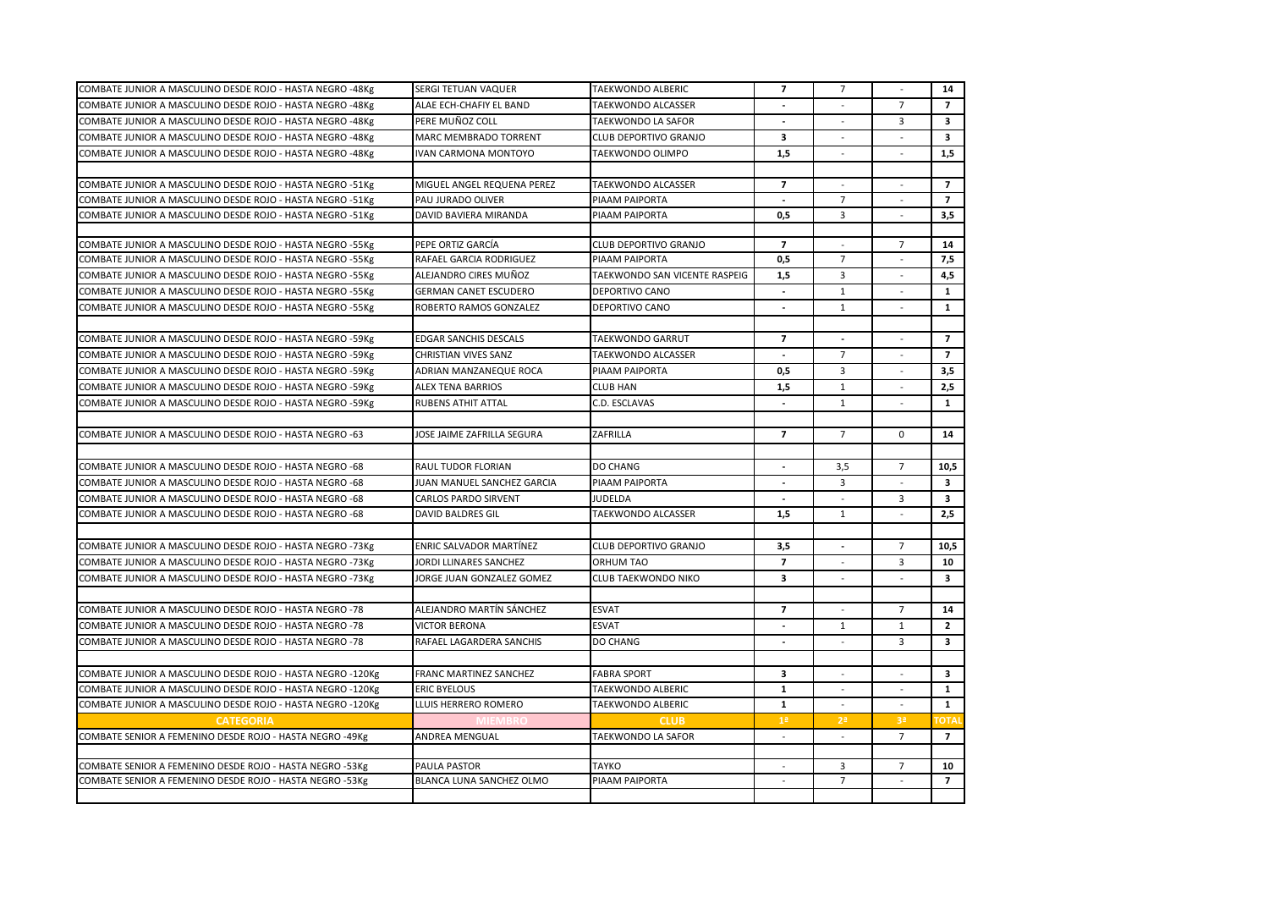| COMBATE JUNIOR A MASCULINO DESDE ROJO - HASTA NEGRO -48Kg  | SERGI TETUAN VAQUER          | TAEKWONDO ALBERIC             | $\overline{7}$           | 7                        |                | 14                      |
|------------------------------------------------------------|------------------------------|-------------------------------|--------------------------|--------------------------|----------------|-------------------------|
| COMBATE JUNIOR A MASCULINO DESDE ROJO - HASTA NEGRO -48Kg  | ALAE ECH-CHAFIY EL BAND      | TAEKWONDO ALCASSER            | $\sim$                   | $\sim$                   | $\overline{7}$ | $\overline{7}$          |
| COMBATE JUNIOR A MASCULINO DESDE ROJO - HASTA NEGRO -48Kg  | PERE MUÑOZ COLL              | TAEKWONDO LA SAFOR            |                          |                          | 3              | $\overline{\mathbf{3}}$ |
| COMBATE JUNIOR A MASCULINO DESDE ROJO - HASTA NEGRO -48Kg  | MARC MEMBRADO TORRENT        | CLUB DEPORTIVO GRANJO         | $\mathbf{3}$             | $\overline{a}$           |                | $\overline{\mathbf{3}}$ |
| COMBATE JUNIOR A MASCULINO DESDE ROJO - HASTA NEGRO -48Kg  | IVAN CARMONA MONTOYO         | TAEKWONDO OLIMPO              | 1,5                      |                          |                | 1,5                     |
|                                                            |                              |                               |                          |                          |                |                         |
| COMBATE JUNIOR A MASCULINO DESDE ROJO - HASTA NEGRO -51Kg  | MIGUEL ANGEL REQUENA PEREZ   | TAEKWONDO ALCASSER            | $\overline{7}$           | $\sim$                   | $\sim$         | $\overline{7}$          |
| COMBATE JUNIOR A MASCULINO DESDE ROJO - HASTA NEGRO -51Kg  | PAU JURADO OLIVER            | PIAAM PAIPORTA                | $\overline{\phantom{a}}$ | $\overline{7}$           |                | $\overline{7}$          |
| COMBATE JUNIOR A MASCULINO DESDE ROJO - HASTA NEGRO -51Kg  | DAVID BAVIERA MIRANDA        | PIAAM PAIPORTA                | 0,5                      | $\overline{3}$           | $\sim$         | 3,5                     |
|                                                            |                              |                               |                          |                          |                |                         |
| COMBATE JUNIOR A MASCULINO DESDE ROJO - HASTA NEGRO -55Kg  | PEPE ORTIZ GARCÍA            | CLUB DEPORTIVO GRANJO         | $\overline{7}$           | $\sim$                   | $7^{\circ}$    | 14                      |
| COMBATE JUNIOR A MASCULINO DESDE ROJO - HASTA NEGRO -55Kg  | RAFAEL GARCIA RODRIGUEZ      | PIAAM PAIPORTA                | 0,5                      | $\overline{7}$           |                | 7,5                     |
| COMBATE JUNIOR A MASCULINO DESDE ROJO - HASTA NEGRO -55Kg  | ALEJANDRO CIRES MUÑOZ        | TAEKWONDO SAN VICENTE RASPEIG | 1,5                      | 3                        |                | 4,5                     |
| COMBATE JUNIOR A MASCULINO DESDE ROJO - HASTA NEGRO -55Kg  | <b>GERMAN CANET ESCUDERO</b> | DEPORTIVO CANO                |                          | $\mathbf{1}$             |                | $\mathbf{1}$            |
| COMBATE JUNIOR A MASCULINO DESDE ROJO - HASTA NEGRO -55Kg  | ROBERTO RAMOS GONZALEZ       | DEPORTIVO CANO                | $\sim$                   | 1                        | $\sim$         | $\mathbf{1}$            |
|                                                            |                              |                               |                          |                          |                |                         |
| COMBATE JUNIOR A MASCULINO DESDE ROJO - HASTA NEGRO -59Kg  | EDGAR SANCHIS DESCALS        | TAEKWONDO GARRUT              | $\overline{7}$           |                          |                | $\overline{7}$          |
| COMBATE JUNIOR A MASCULINO DESDE ROJO - HASTA NEGRO -59Kg  | CHRISTIAN VIVES SANZ         | TAEKWONDO ALCASSER            |                          | $\overline{7}$           |                | $\overline{7}$          |
| COMBATE JUNIOR A MASCULINO DESDE ROJO - HASTA NEGRO -59Kg  | ADRIAN MANZANEQUE ROCA       | PIAAM PAIPORTA                | 0,5                      | $\overline{3}$           | $\sim$         | 3,5                     |
| COMBATE JUNIOR A MASCULINO DESDE ROJO - HASTA NEGRO -59Kg  | <b>ALEX TENA BARRIOS</b>     | <b>CLUB HAN</b>               | 1,5                      | 1                        |                | 2,5                     |
| COMBATE JUNIOR A MASCULINO DESDE ROJO - HASTA NEGRO -59Kg  | <b>RUBENS ATHIT ATTAL</b>    | C.D. ESCLAVAS                 |                          | 1                        | $\sim$         | $\mathbf{1}$            |
|                                                            |                              |                               |                          |                          |                |                         |
| COMBATE JUNIOR A MASCULINO DESDE ROJO - HASTA NEGRO -63    | JOSE JAIME ZAFRILLA SEGURA   | ZAFRILLA                      | $\overline{7}$           | $\overline{7}$           | $\Omega$       | 14                      |
|                                                            |                              |                               |                          |                          |                |                         |
| COMBATE JUNIOR A MASCULINO DESDE ROJO - HASTA NEGRO -68    | RAUL TUDOR FLORIAN           | <b>DO CHANG</b>               | $\overline{\phantom{a}}$ | 3,5                      | $\overline{7}$ | 10,5                    |
| COMBATE JUNIOR A MASCULINO DESDE ROJO - HASTA NEGRO -68    | JUAN MANUEL SANCHEZ GARCIA   | PIAAM PAIPORTA                |                          | $\overline{3}$           |                | $\mathbf{3}$            |
| COMBATE JUNIOR A MASCULINO DESDE ROJO - HASTA NEGRO -68    | <b>CARLOS PARDO SIRVENT</b>  | JUDELDA                       | $\overline{\phantom{0}}$ |                          | 3              | $\overline{\mathbf{3}}$ |
| COMBATE JUNIOR A MASCULINO DESDE ROJO - HASTA NEGRO -68    | DAVID BALDRES GIL            | <b>TAEKWONDO ALCASSER</b>     | 1,5                      | 1                        | $\sim$         | 2,5                     |
|                                                            |                              |                               |                          |                          |                |                         |
| COMBATE JUNIOR A MASCULINO DESDE ROJO - HASTA NEGRO -73Kg  | ENRIC SALVADOR MARTÍNEZ      | CLUB DEPORTIVO GRANJO         | 3,5                      | $\overline{a}$           | $\overline{7}$ | 10,5                    |
| COMBATE JUNIOR A MASCULINO DESDE ROJO - HASTA NEGRO -73Kg  | JORDI LLINARES SANCHEZ       | ORHUM TAO                     | $\overline{7}$           |                          | 3              | 10                      |
| COMBATE JUNIOR A MASCULINO DESDE ROJO - HASTA NEGRO -73Kg  | JORGE JUAN GONZALEZ GOMEZ    | <b>CLUB TAEKWONDO NIKO</b>    | $\overline{\mathbf{3}}$  | $\sim$                   | $\sim$         | $\overline{\mathbf{3}}$ |
|                                                            |                              |                               |                          |                          |                |                         |
| COMBATE JUNIOR A MASCULINO DESDE ROJO - HASTA NEGRO -78    | ALEJANDRO MARTÍN SÁNCHEZ     | <b>ESVAT</b>                  | $\overline{7}$           | $\overline{a}$           | $\overline{7}$ | 14                      |
| COMBATE JUNIOR A MASCULINO DESDE ROJO - HASTA NEGRO -78    | <b>VICTOR BERONA</b>         | <b>ESVAT</b>                  | $\overline{\phantom{a}}$ | $\mathbf{1}$             | 1              | $\overline{2}$          |
| COMBATE JUNIOR A MASCULINO DESDE ROJO - HASTA NEGRO -78    | RAFAEL LAGARDERA SANCHIS     | DO CHANG                      | $\overline{\phantom{a}}$ |                          | 3              | $\overline{\mathbf{3}}$ |
|                                                            |                              |                               |                          |                          |                |                         |
| COMBATE JUNIOR A MASCULINO DESDE ROJO - HASTA NEGRO -120Kg | FRANC MARTINEZ SANCHEZ       | <b>FABRA SPORT</b>            | 3                        | $\overline{\phantom{a}}$ |                | 3                       |
| COMBATE JUNIOR A MASCULINO DESDE ROJO - HASTA NEGRO -120Kg | <b>ERIC BYELOUS</b>          | TAEKWONDO ALBERIC             | $\mathbf{1}$             |                          |                | $\mathbf{1}$            |
| COMBATE JUNIOR A MASCULINO DESDE ROJO - HASTA NEGRO -120Kg | LLUIS HERRERO ROMERO         | TAEKWONDO ALBERIC             | $\mathbf{1}$             |                          |                | $\mathbf{1}$            |
| <b>CATEGORIA</b>                                           |                              | <b>CLUB</b>                   | 1 <sup>a</sup>           | 2 <sup>a</sup>           | 3 <sup>a</sup> | <b>OTA</b>              |
| COMBATE SENIOR A FEMENINO DESDE ROJO - HASTA NEGRO -49Kg   | ANDREA MENGUAL               | TAEKWONDO LA SAFOR            | $\sim$                   | $\sim$                   | $7^{\circ}$    | $\overline{7}$          |
|                                                            |                              |                               |                          |                          |                |                         |
| COMBATE SENIOR A FEMENINO DESDE ROJO - HASTA NEGRO -53Kg   | PAULA PASTOR                 | <b>TAYKO</b>                  | $\sim$                   | $\overline{\mathbf{3}}$  | $\overline{7}$ | 10                      |
|                                                            |                              |                               |                          |                          |                |                         |
| COMBATE SENIOR A FEMENINO DESDE ROJO - HASTA NEGRO -53Kg   | BLANCA LUNA SANCHEZ OLMO     | PIAAM PAIPORTA                | $\overline{\phantom{a}}$ | $\overline{7}$           |                | $\overline{7}$          |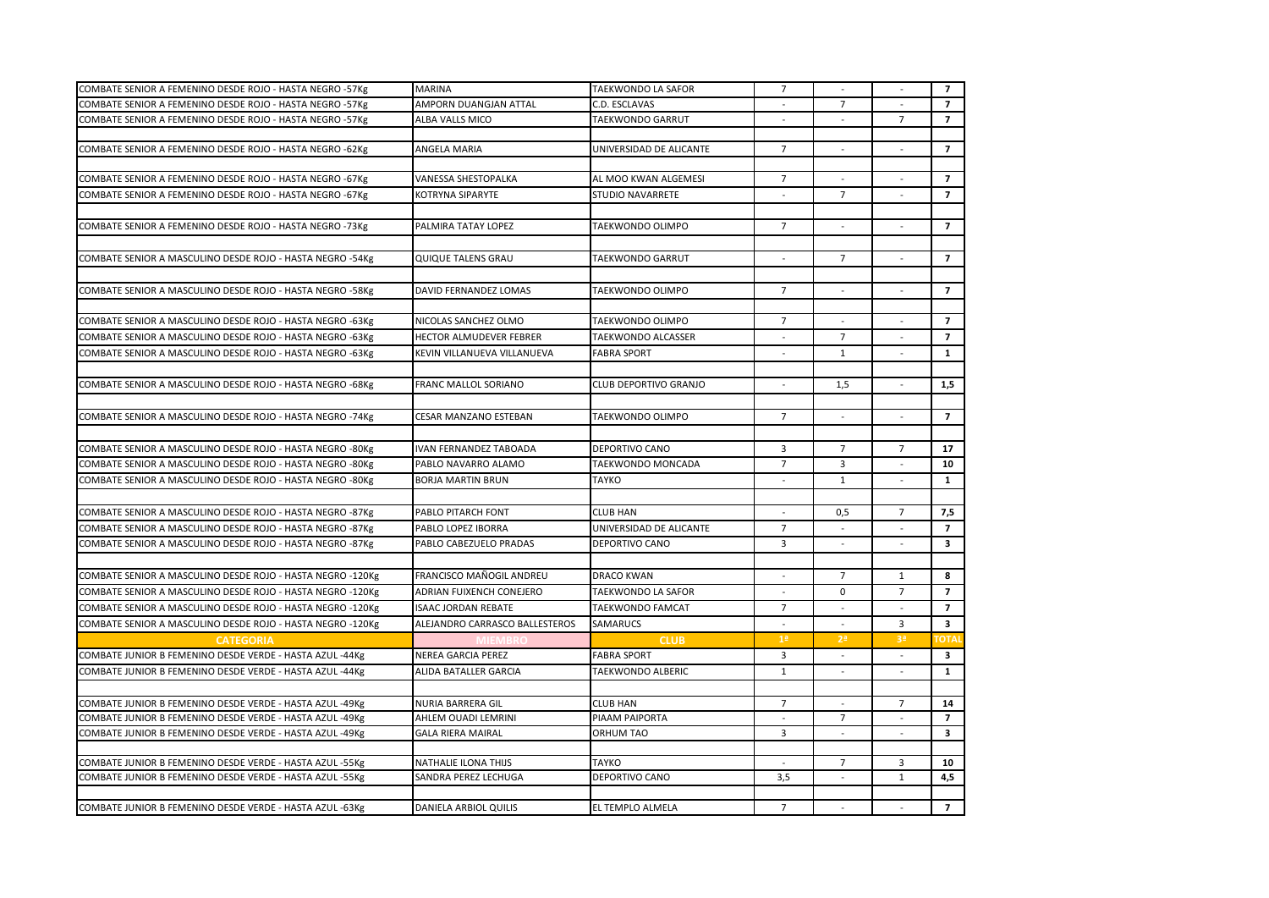|                                                            | <b>MARINA</b>                  | <b>TAEKWONDO LA SAFOR</b> | $\overline{7}$           |                          |                          | $\overline{7}$          |
|------------------------------------------------------------|--------------------------------|---------------------------|--------------------------|--------------------------|--------------------------|-------------------------|
| COMBATE SENIOR A FEMENINO DESDE ROJO - HASTA NEGRO -57Kg   |                                |                           |                          | $\overline{7}$           |                          |                         |
| COMBATE SENIOR A FEMENINO DESDE ROJO - HASTA NEGRO -57Kg   | AMPORN DUANGJAN ATTAL          | C.D. ESCLAVAS             |                          |                          |                          | $\overline{7}$          |
| COMBATE SENIOR A FEMENINO DESDE ROJO - HASTA NEGRO -57Kg   | ALBA VALLS MICO                | <b>TAEKWONDO GARRUT</b>   |                          |                          | $\overline{7}$           | $\overline{7}$          |
|                                                            |                                |                           |                          |                          |                          |                         |
| COMBATE SENIOR A FEMENINO DESDE ROJO - HASTA NEGRO -62Kg   | ANGELA MARIA                   | UNIVERSIDAD DE ALICANTE   | $\overline{7}$           |                          |                          | $\overline{7}$          |
|                                                            |                                |                           |                          |                          |                          |                         |
| COMBATE SENIOR A FEMENINO DESDE ROJO - HASTA NEGRO -67Kg   | VANESSA SHESTOPALKA            | AL MOO KWAN ALGEMESI      | $\overline{7}$           |                          |                          | $\overline{7}$          |
| COMBATE SENIOR A FEMENINO DESDE ROJO - HASTA NEGRO -67Kg   | KOTRYNA SIPARYTE               | <b>STUDIO NAVARRETE</b>   | $\overline{\phantom{a}}$ | $\overline{7}$           | $\overline{\phantom{a}}$ | $\overline{7}$          |
|                                                            |                                |                           |                          |                          |                          |                         |
| COMBATE SENIOR A FEMENINO DESDE ROJO - HASTA NEGRO -73Kg   | PALMIRA TATAY LOPEZ            | TAEKWONDO OLIMPO          | $\overline{7}$           |                          |                          | $\overline{7}$          |
|                                                            |                                |                           |                          |                          |                          |                         |
| COMBATE SENIOR A MASCULINO DESDE ROJO - HASTA NEGRO -54Kg  | <b>QUIQUE TALENS GRAU</b>      | TAEKWONDO GARRUT          |                          | $\overline{7}$           |                          | $\overline{7}$          |
|                                                            |                                |                           |                          |                          |                          |                         |
| COMBATE SENIOR A MASCULINO DESDE ROJO - HASTA NEGRO -58Kg  | DAVID FERNANDEZ LOMAS          | TAEKWONDO OLIMPO          | $\overline{7}$           |                          |                          | $\overline{7}$          |
|                                                            |                                |                           |                          |                          |                          |                         |
| COMBATE SENIOR A MASCULINO DESDE ROJO - HASTA NEGRO -63Kg  | NICOLAS SANCHEZ OLMO           | TAEKWONDO OLIMPO          | $\overline{7}$           | $\sim$                   | $\overline{\phantom{a}}$ | $\overline{7}$          |
| COMBATE SENIOR A MASCULINO DESDE ROJO - HASTA NEGRO -63Kg  | HECTOR ALMUDEVER FEBRER        | <b>TAEKWONDO ALCASSER</b> |                          | $\overline{7}$           |                          | $\overline{7}$          |
| COMBATE SENIOR A MASCULINO DESDE ROJO - HASTA NEGRO -63Kg  | KEVIN VILLANUEVA VILLANUEVA    | <b>FABRA SPORT</b>        | $\sim$                   | $\mathbf{1}$             | $\overline{a}$           | $\mathbf{1}$            |
|                                                            |                                |                           |                          |                          |                          |                         |
|                                                            |                                |                           |                          |                          |                          |                         |
| COMBATE SENIOR A MASCULINO DESDE ROJO - HASTA NEGRO -68Kg  | FRANC MALLOL SORIANO           | CLUB DEPORTIVO GRANJO     |                          | 1,5                      |                          | 1,5                     |
|                                                            |                                |                           |                          |                          |                          |                         |
| COMBATE SENIOR A MASCULINO DESDE ROJO - HASTA NEGRO -74Kg  | CESAR MANZANO ESTEBAN          | TAEKWONDO OLIMPO          | $\overline{7}$           |                          |                          | $\overline{7}$          |
|                                                            |                                |                           |                          |                          |                          |                         |
| COMBATE SENIOR A MASCULINO DESDE ROJO - HASTA NEGRO -80Kg  | <b>IVAN FERNANDEZ TABOADA</b>  | <b>DEPORTIVO CANO</b>     | 3                        | $\overline{7}$           | $\overline{7}$           | 17                      |
| COMBATE SENIOR A MASCULINO DESDE ROJO - HASTA NEGRO -80Kg  | PABLO NAVARRO ALAMO            | TAEKWONDO MONCADA         | $\overline{7}$           | 3                        |                          | 10                      |
| COMBATE SENIOR A MASCULINO DESDE ROJO - HASTA NEGRO -80Kg  | <b>BORJA MARTIN BRUN</b>       | <b>TAYKO</b>              | $\overline{a}$           | $\mathbf{1}$             |                          | $\mathbf{1}$            |
|                                                            |                                |                           |                          |                          |                          |                         |
| COMBATE SENIOR A MASCULINO DESDE ROJO - HASTA NEGRO -87Kg  | PABLO PITARCH FONT             | <b>CLUB HAN</b>           |                          | 0,5                      | $\overline{7}$           | 7,5                     |
| COMBATE SENIOR A MASCULINO DESDE ROJO - HASTA NEGRO -87Kg  | PABLO LOPEZ IBORRA             | UNIVERSIDAD DE ALICANTE   | $\overline{7}$           | $\overline{\phantom{a}}$ | $\overline{\phantom{a}}$ | $\overline{7}$          |
| COMBATE SENIOR A MASCULINO DESDE ROJO - HASTA NEGRO -87Kg  | PABLO CABEZUELO PRADAS         | <b>DEPORTIVO CANO</b>     | 3                        | $\overline{\phantom{a}}$ |                          | 3                       |
|                                                            |                                |                           |                          |                          |                          |                         |
|                                                            |                                |                           |                          |                          |                          |                         |
| COMBATE SENIOR A MASCULINO DESDE ROJO - HASTA NEGRO -120Kg | FRANCISCO MAÑOGIL ANDREU       | <b>DRACO KWAN</b>         |                          | $\overline{7}$           | $\mathbf{1}$             | 8                       |
| COMBATE SENIOR A MASCULINO DESDE ROJO - HASTA NEGRO -120Kg | ADRIAN FUIXENCH CONEJERO       | TAEKWONDO LA SAFOR        |                          | $\mathbf 0$              | $\overline{7}$           | $\overline{7}$          |
| COMBATE SENIOR A MASCULINO DESDE ROJO - HASTA NEGRO -120Kg | <b>ISAAC JORDAN REBATE</b>     | <b>TAEKWONDO FAMCAT</b>   | $\overline{7}$           | $\sim$                   |                          | $\overline{7}$          |
| COMBATE SENIOR A MASCULINO DESDE ROJO - HASTA NEGRO -120Kg | ALEJANDRO CARRASCO BALLESTEROS | SAMARUCS                  |                          |                          | 3                        | 3                       |
| <b>CATEGORIA</b>                                           |                                | <b>CLUB</b>               | 1 <sup>a</sup>           | 2 <sup>a</sup>           | 3ª                       | <b>TOTA</b>             |
| COMBATE JUNIOR B FEMENINO DESDE VERDE - HASTA AZUL -44Kg   | NEREA GARCIA PEREZ             | <b>FABRA SPORT</b>        | 3                        | $\sim$                   | $\sim$                   | $\overline{\mathbf{3}}$ |
| COMBATE JUNIOR B FEMENINO DESDE VERDE - HASTA AZUL -44Kg   | ALIDA BATALLER GARCIA          | <b>TAEKWONDO ALBERIC</b>  | $\mathbf{1}$             |                          |                          | $\mathbf{1}$            |
|                                                            |                                |                           |                          |                          |                          |                         |
| COMBATE JUNIOR B FEMENINO DESDE VERDE - HASTA AZUL -49Kg   | <b>NURIA BARRERA GIL</b>       | <b>CLUB HAN</b>           | $\overline{7}$           |                          | $\overline{7}$           | 14                      |
| COMBATE JUNIOR B FEMENINO DESDE VERDE - HASTA AZUL -49Kg   | AHLEM OUADI LEMRINI            | PIAAM PAIPORTA            |                          | $\overline{7}$           |                          | $\overline{7}$          |
| COMBATE JUNIOR B FEMENINO DESDE VERDE - HASTA AZUL -49Kg   | <b>GALA RIERA MAIRAL</b>       | <b>ORHUM TAO</b>          | $\overline{3}$           | $\overline{a}$           |                          | $\overline{\mathbf{3}}$ |
|                                                            |                                |                           |                          |                          |                          |                         |
| COMBATE JUNIOR B FEMENINO DESDE VERDE - HASTA AZUL -55Kg   | NATHALIE ILONA THIJS           | <b>TAYKO</b>              |                          | $\overline{7}$           | 3                        | 10                      |
| COMBATE JUNIOR B FEMENINO DESDE VERDE - HASTA AZUL -55Kg   | SANDRA PEREZ LECHUGA           | DEPORTIVO CANO            | 3,5                      |                          | $\mathbf{1}$             | 4,5                     |
|                                                            |                                |                           |                          |                          |                          |                         |
| COMBATE JUNIOR B FEMENINO DESDE VERDE - HASTA AZUL -63Kg   | DANIELA ARBIOL QUILIS          | EL TEMPLO ALMELA          | $\overline{7}$           |                          | $\sim$                   | $\overline{7}$          |
|                                                            |                                |                           |                          |                          |                          |                         |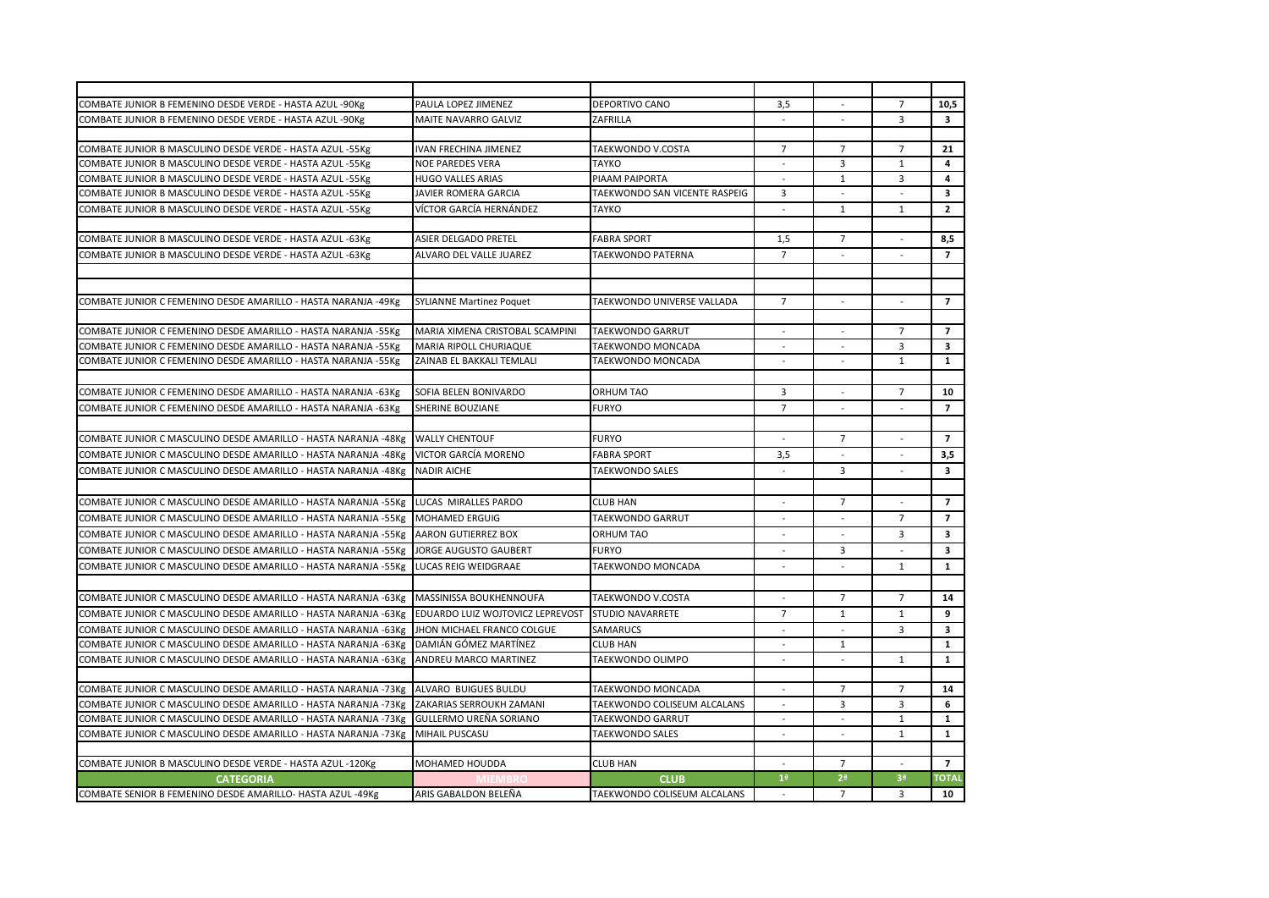| COMBATE JUNIOR B FEMENINO DESDE VERDE - HASTA AZUL -90Kg        | PAULA LOPEZ JIMENEZ              | DEPORTIVO CANO                | 3,5            | $\overline{\phantom{a}}$ | $\overline{7}$           | 10,5                    |
|-----------------------------------------------------------------|----------------------------------|-------------------------------|----------------|--------------------------|--------------------------|-------------------------|
| COMBATE JUNIOR B FEMENINO DESDE VERDE - HASTA AZUL -90Kg        | MAITE NAVARRO GALVIZ             | ZAFRILLA                      | $\sim$         |                          | $\overline{3}$           | $\overline{\mathbf{3}}$ |
|                                                                 |                                  |                               |                |                          |                          |                         |
| COMBATE JUNIOR B MASCULINO DESDE VERDE - HASTA AZUL -55Kg       | <b>IVAN FRECHINA JIMENEZ</b>     | TAEKWONDO V.COSTA             | $\overline{7}$ | $\overline{7}$           | $\overline{7}$           | 21                      |
| COMBATE JUNIOR B MASCULINO DESDE VERDE - HASTA AZUL -55Kg       | <b>NOE PAREDES VERA</b>          | <b>TAYKO</b>                  | ÷              | 3                        | $\mathbf{1}$             | 4                       |
| COMBATE JUNIOR B MASCULINO DESDE VERDE - HASTA AZUL -55Kg       | <b>HUGO VALLES ARIAS</b>         | PIAAM PAIPORTA                |                | $\mathbf{1}$             | 3                        | $\overline{\mathbf{4}}$ |
| COMBATE JUNIOR B MASCULINO DESDE VERDE - HASTA AZUL -55Kg       | <b>JAVIER ROMERA GARCIA</b>      | TAEKWONDO SAN VICENTE RASPEIG | 3              | $\overline{a}$           |                          | $\overline{\mathbf{3}}$ |
| COMBATE JUNIOR B MASCULINO DESDE VERDE - HASTA AZUL -55Kg       | VÍCTOR GARCÍA HERNÁNDEZ          | <b>TAYKO</b>                  |                | $\mathbf{1}$             | $\mathbf{1}$             | $\overline{2}$          |
|                                                                 |                                  |                               |                |                          |                          |                         |
| COMBATE JUNIOR B MASCULINO DESDE VERDE - HASTA AZUL -63Kg       | ASIER DELGADO PRETEL             | <b>FABRA SPORT</b>            | 1,5            | $\overline{7}$           | $\overline{\phantom{a}}$ | 8,5                     |
| COMBATE JUNIOR B MASCULINO DESDE VERDE - HASTA AZUL -63Kg       | ALVARO DEL VALLE JUAREZ          | TAEKWONDO PATERNA             | $\overline{7}$ |                          |                          | $\overline{7}$          |
|                                                                 |                                  |                               |                |                          |                          |                         |
|                                                                 |                                  |                               |                |                          |                          |                         |
| COMBATE JUNIOR C FEMENINO DESDE AMARILLO - HASTA NARANJA -49Kg  | <b>SYLIANNE Martinez Poquet</b>  | TAEKWONDO UNIVERSE VALLADA    | $\overline{7}$ | $\overline{\phantom{a}}$ | $\overline{a}$           | $\overline{7}$          |
|                                                                 |                                  |                               |                |                          |                          |                         |
| COMBATE JUNIOR C FEMENINO DESDE AMARILLO - HASTA NARANJA -55Kg  | MARIA XIMENA CRISTOBAL SCAMPINI  | <b>TAEKWONDO GARRUT</b>       |                |                          | $\overline{7}$           | $\overline{7}$          |
| COMBATE JUNIOR C FEMENINO DESDE AMARILLO - HASTA NARANJA -55Kg  | <b>MARIA RIPOLL CHURIAQUE</b>    | TAEKWONDO MONCADA             | ÷              | $\overline{\phantom{a}}$ | $\overline{3}$           | $\overline{\mathbf{3}}$ |
| COMBATE JUNIOR C FEMENINO DESDE AMARILLO - HASTA NARANJA -55Kg  | ZAINAB EL BAKKALI TEMLALI        | TAEKWONDO MONCADA             |                |                          | $\mathbf{1}$             | $\mathbf{1}$            |
|                                                                 |                                  |                               |                |                          |                          |                         |
| COMBATE JUNIOR C FEMENINO DESDE AMARILLO - HASTA NARANJA -63Kg  | SOFIA BELEN BONIVARDO            | <b>ORHUM TAO</b>              | 3              | $\overline{\phantom{a}}$ | $\overline{7}$           | 10                      |
| COMBATE JUNIOR C FEMENINO DESDE AMARILLO - HASTA NARANJA -63Kg  | SHERINE BOUZIANE                 | <b>FURYO</b>                  | $\overline{7}$ | $\overline{a}$           | $\overline{\phantom{a}}$ | $\overline{7}$          |
|                                                                 |                                  |                               |                |                          |                          |                         |
| COMBATE JUNIOR C MASCULINO DESDE AMARILLO - HASTA NARANJA -48Kg | <b>WALLY CHENTOUF</b>            | <b>FURYO</b>                  |                | $\overline{7}$           |                          | $\overline{7}$          |
| COMBATE JUNIOR C MASCULINO DESDE AMARILLO - HASTA NARANJA -48Kg | VICTOR GARCÍA MORENO             | <b>FABRA SPORT</b>            | 3,5            |                          |                          | 3,5                     |
| COMBATE JUNIOR C MASCULINO DESDE AMARILLO - HASTA NARANJA -48Kg | <b>NADIR AICHE</b>               | <b>TAEKWONDO SALES</b>        | $\overline{a}$ | 3                        | $\overline{a}$           | $\overline{\mathbf{3}}$ |
|                                                                 |                                  |                               |                |                          |                          |                         |
| COMBATE JUNIOR C MASCULINO DESDE AMARILLO - HASTA NARANJA -55Kg | LUCAS MIRALLES PARDO             | <b>CLUB HAN</b>               |                | $\overline{7}$           |                          | $\overline{7}$          |
| COMBATE JUNIOR C MASCULINO DESDE AMARILLO - HASTA NARANJA -55Kg | <b>MOHAMED ERGUIG</b>            | <b>TAEKWONDO GARRUT</b>       | ÷              | $\overline{\phantom{a}}$ | $\overline{7}$           | $\overline{7}$          |
| COMBATE JUNIOR C MASCULINO DESDE AMARILLO - HASTA NARANJA -55Kg | <b>AARON GUTIERREZ BOX</b>       | ORHUM TAO                     |                | $\overline{\phantom{a}}$ | 3                        | $\overline{\mathbf{3}}$ |
| COMBATE JUNIOR C MASCULINO DESDE AMARILLO - HASTA NARANJA -55Kg | <b>JORGE AUGUSTO GAUBERT</b>     | <b>FURYO</b>                  |                | 3                        |                          | $\overline{\mathbf{3}}$ |
| COMBATE JUNIOR C MASCULINO DESDE AMARILLO - HASTA NARANJA -55Kg | LUCAS REIG WEIDGRAAE             | TAEKWONDO MONCADA             | $\overline{a}$ | $\overline{a}$           | $\mathbf{1}$             | $\mathbf{1}$            |
|                                                                 |                                  |                               |                |                          |                          |                         |
| COMBATE JUNIOR C MASCULINO DESDE AMARILLO - HASTA NARANJA -63Kg | MASSINISSA BOUKHENNOUFA          | TAEKWONDO V.COSTA             |                | $\overline{7}$           | $\overline{7}$           | 14                      |
| COMBATE JUNIOR C MASCULINO DESDE AMARILLO - HASTA NARANJA -63Kg | EDUARDO LUIZ WOJTOVICZ LEPREVOST | <b>STUDIO NAVARRETE</b>       | $\overline{7}$ | $\mathbf{1}$             | $\mathbf{1}$             | 9                       |
| COMBATE JUNIOR C MASCULINO DESDE AMARILLO - HASTA NARANJA -63Kg | JHON MICHAEL FRANCO COLGUE       | <b>SAMARUCS</b>               |                |                          | 3                        | 3                       |
| COMBATE JUNIOR C MASCULINO DESDE AMARILLO - HASTA NARANJA -63Kg | DAMIÁN GÓMEZ MARTÍNEZ            | <b>CLUB HAN</b>               | $\overline{a}$ | 1                        |                          | $\mathbf{1}$            |
| COMBATE JUNIOR C MASCULINO DESDE AMARILLO - HASTA NARANJA -63Kg | ANDREU MARCO MARTINEZ            | TAEKWONDO OLIMPO              | $\overline{a}$ | $\overline{a}$           | $\mathbf{1}$             | $\mathbf{1}$            |
|                                                                 |                                  |                               |                |                          |                          |                         |
| COMBATE JUNIOR C MASCULINO DESDE AMARILLO - HASTA NARANJA -73Kg | ALVARO BUIGUES BULDU             | TAEKWONDO MONCADA             |                | $\overline{7}$           | $\overline{7}$           | 14                      |
| COMBATE JUNIOR C MASCULINO DESDE AMARILLO - HASTA NARANJA -73Kg | ZAKARIAS SERROUKH ZAMANI         | TAEKWONDO COLISEUM ALCALANS   |                | 3                        | $\overline{3}$           | 6                       |
| COMBATE JUNIOR C MASCULINO DESDE AMARILLO - HASTA NARANJA -73Kg | <b>GULLERMO UREÑA SORIANO</b>    | TAEKWONDO GARRUT              |                | $\overline{\phantom{a}}$ | $\mathbf{1}$             | $\mathbf{1}$            |
| COMBATE JUNIOR C MASCULINO DESDE AMARILLO - HASTA NARANJA -73Kg | <b>MIHAIL PUSCASU</b>            | <b>TAEKWONDO SALES</b>        |                |                          | $\mathbf{1}$             | $\mathbf{1}$            |
|                                                                 |                                  |                               |                |                          |                          |                         |
| COMBATE JUNIOR B MASCULINO DESDE VERDE - HASTA AZUL -120Kg      | <b>MOHAMED HOUDDA</b>            | <b>CLUB HAN</b>               |                | $\overline{7}$           |                          | $\overline{7}$          |
| <b>CATEGORIA</b>                                                |                                  | <b>CLUB</b>                   | 1 <sup>a</sup> | 2 <sup>a</sup>           | 3 <sup>a</sup>           | <b>TOTAL</b>            |
| COMBATE SENIOR B FEMENINO DESDE AMARILLO- HASTA AZUL -49Kg      | ARIS GABALDON BELEÑA             | TAEKWONDO COLISEUM ALCALANS   |                | $\overline{7}$           | $\overline{3}$           | 10                      |